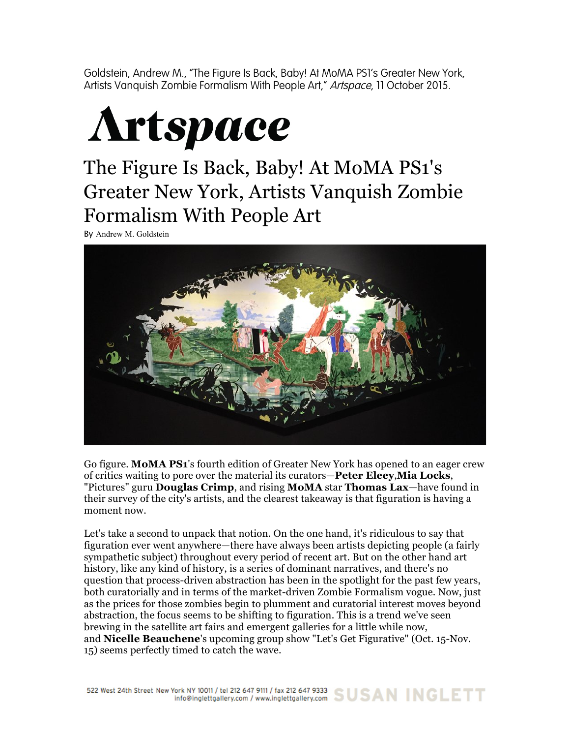Goldstein, Andrew M., "The Figure Is Back, Baby! At MoMA PS1's Greater New York, Artists Vanquish Zombie Formalism With People Art," Artspace, 11 October 2015.



## The Figure Is Back, Baby! At MoMA PS1's Greater New York, Artists Vanquish Zombie Formalism With People Art

By Andrew M. Goldstein



Go figure. **MoMA PS1**'s fourth edition of Greater New York has opened to an eager crew of critics waiting to pore over the material its curators—**Peter Eleey**,**Mia Locks**, "Pictures" guru **Douglas Crimp**, and rising **MoMA** star **Thomas Lax**—have found in their survey of the city's artists, and the clearest takeaway is that figuration is having a moment now.

Let's take a second to unpack that notion. On the one hand, it's ridiculous to say that figuration ever went anywhere—there have always been artists depicting people (a fairly sympathetic subject) throughout every period of recent art. But on the other hand art history, like any kind of history, is a series of dominant narratives, and there's no question that process-driven abstraction has been in the spotlight for the past few years, both curatorially and in terms of the market-driven Zombie Formalism vogue. Now, just as the prices for those zombies begin to plumment and curatorial interest moves beyond abstraction, the focus seems to be shifting to figuration. This is a trend we've seen brewing in the satellite art fairs and emergent galleries for a little while now, and **Nicelle Beauchene**'s upcoming group show "Let's Get Figurative" (Oct. 15-Nov. 15) seems perfectly timed to catch the wave.